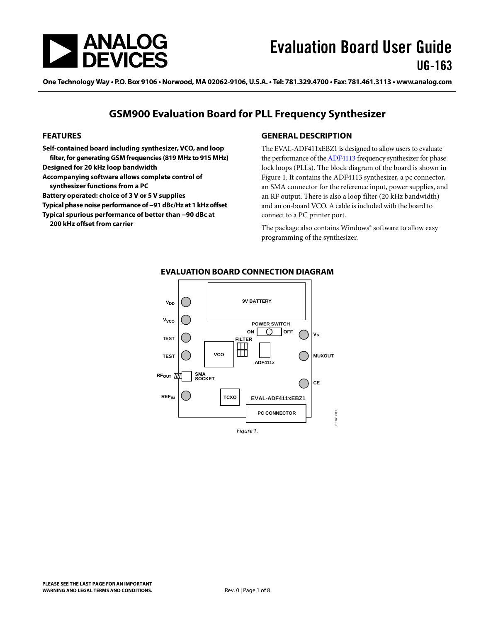<span id="page-0-1"></span>

One Technology Way • P.O. Box 9106 • Norwood, MA 02062-9106, U.S.A. • Tel: 781.329.4700 • Fax: 781.461.3113 • www.analog.com

## **GSM900 Evaluation Board for PLL Frequency Synthesizer**

#### **FEATURES**

**Self-contained board including synthesizer, VCO, and loop filter, for generating GSM frequencies (819 MHz to 915 MHz) Designed for 20 kHz loop bandwidth Accompanying software allows complete control of synthesizer functions from a PC** 

**Battery operated: choice of 3 V or 5 V supplies** 

**Typical phase noise performance of −91 dBc/Hz at 1 kHz offset** 

**Typical spurious performance of better than −90 dBc at** 

**200 kHz offset from carrier** 

#### **GENERAL DESCRIPTION**

The EVAL-ADF411xEBZ1 is designed to allow users to evaluate the performance of the [ADF4113](http://www.analog.com/ADF4113) frequency synthesizer for phase lock loops (PLLs). The block diagram of the board is shown in [Figure 1](#page-0-0). It contains the ADF4113 synthesizer, a pc connector, an SMA connector for the reference input, power supplies, and an RF output. There is also a loop filter (20 kHz bandwidth) and an on-board VCO. A cable is included with the board to connect to a PC printer port.

The package also contains Windows® software to allow easy programming of the synthesizer.

<span id="page-0-0"></span>

#### **EVALUATION BOARD CONNECTION DIAGRAM**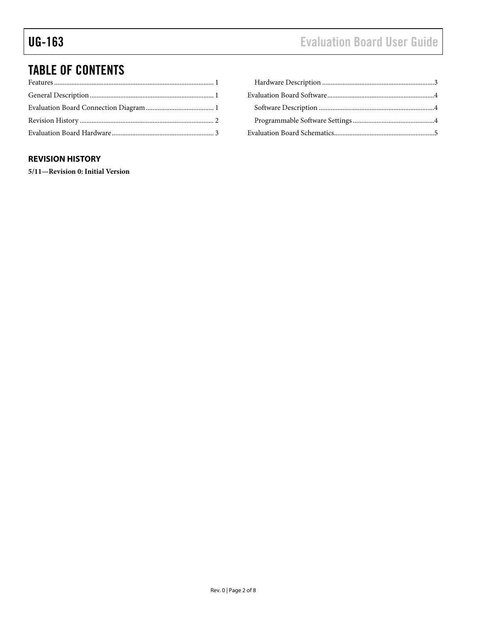# <span id="page-1-0"></span>TABLE OF CONTENTS

## **REVISION HISTORY**

**5/11—Revision 0: Initial Version**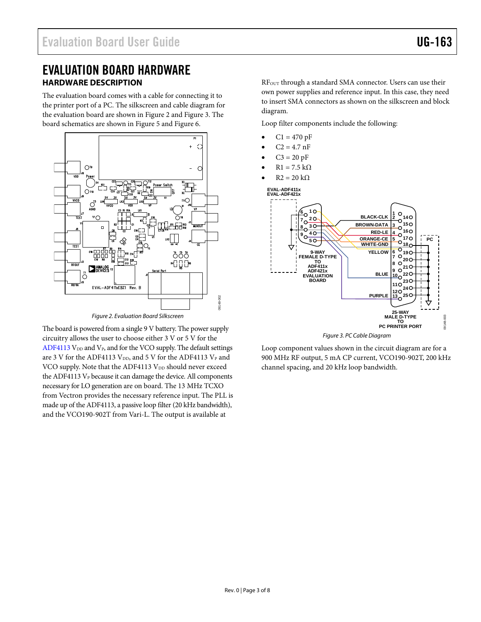## <span id="page-2-0"></span>EVALUATION BOARD HARDWARE **HARDWARE DESCRIPTION**

The evaluation board comes with a cable for connecting it to the printer port of a PC. The silkscreen and cable diagram for the evaluation board are shown in [Figure 2](#page-2-1) and [Figure 3](#page-2-2). The board schematics are shown in [Figure 5](#page-4-1) and [Figure 6](#page-5-0).



Figure 2. Evaluation Board Silkscreen

<span id="page-2-2"></span><span id="page-2-1"></span>The board is powered from a single 9 V battery. The power supply circuitry allows the user to choose either 3 V or 5 V for the [ADF4113](http://www.analog.com/ADF4113)  $V_{DD}$  and  $V_{P}$ , and for the VCO supply. The default settings are 3 V for the [ADF4113](http://www.analog.com/ADF4113) V<sub>DD</sub>, and 5 V for the ADF4113 V<sub>P</sub> and VCO supply. Note that the [ADF4113](http://www.analog.com/ADF4113) V<sub>DD</sub> should never exceed the [ADF4113](http://www.analog.com/ADF4113) V<sub>P</sub> because it can damage the device. All components necessary for LO generation are on board. The 13 MHz TCXO from Vectron provides the necessary reference input. The PLL is made up of the [ADF4113](http://www.analog.com/ADF4113), a passive loop filter (20 kHz bandwidth), and the VCO190-902T from Vari-L. The output is available at

RF<sub>OUT</sub> through a standard SMA connector. Users can use their own power supplies and reference input. In this case, they need to insert SMA connectors as shown on the silkscreen and block diagram.

Loop filter components include the following:

- $C1 = 470 pF$
- $C2 = 4.7$  nF
- $C3 = 20 pF$
- $R1 = 7.5$  kΩ
- $R2 = 20 k\Omega$



Figure 3. PC Cable Diagram

Loop component values shown in the circuit diagram are for a 900 MHz RF output, 5 mA CP current, VCO190-902T, 200 kHz channel spacing, and 20 kHz loop bandwidth.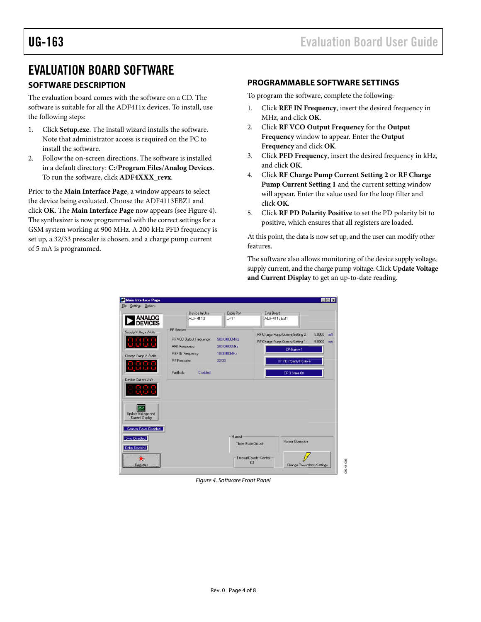## <span id="page-3-0"></span>EVALUATION BOARD SOFTWARE

## **SOFTWARE DESCRIPTION**

The evaluation board comes with the software on a CD. The software is suitable for all the ADF411x devices. To install, use the following steps:

- 1. Click **Setup.exe**. The install wizard installs the software. Note that administrator access is required on the PC to install the software.
- 2. Follow the on-screen directions. The software is installed in a default directory: **C:**/**Program Files**/**Analog Devices**. To run the software, click **ADF4XXX\_revx**.

Prior to the **Main Interface Page**, a window appears to select the device being evaluated. Choose the ADF4113EBZ1 and click **OK**. The **Main Interface Page** now appears (see [Figure 4](#page-3-1)). The synthesizer is now programmed with the correct settings for a GSM system working at 900 MHz. A 200 kHz PFD frequency is set up, a 32/33 prescaler is chosen, and a charge pump current of 5 mA is programmed.

#### **PROGRAMMABLE SOFTWARE SETTINGS**

To program the software, complete the following:

- 1. Click **REF IN Frequency**, insert the desired frequency in MHz, and click **OK**.
- 2. Click **RF VCO Output Frequency** for the **Output Frequency** window to appear. Enter the **Output Frequency** and click **OK**.
- 3. Click **PFD Frequency**, insert the desired frequency in kHz, and click **OK**.
- 4. Click **RF Charge Pump Current Setting 2** or **RF Charge Pump Current Setting 1** and the current setting window will appear. Enter the value used for the loop filter and click **OK**.
- 5. Click **RF PD Polarity Positive** to set the PD polarity bit to positive, which ensures that all registers are loaded.

At this point, the data is now set up, and the user can modify other features.

The software also allows monitoring of the device supply voltage, supply current, and the charge pump voltage. Click **Update Voltage and Current Display** to get an up-to-date reading.

<span id="page-3-1"></span>

Figure 4. Software Front Panel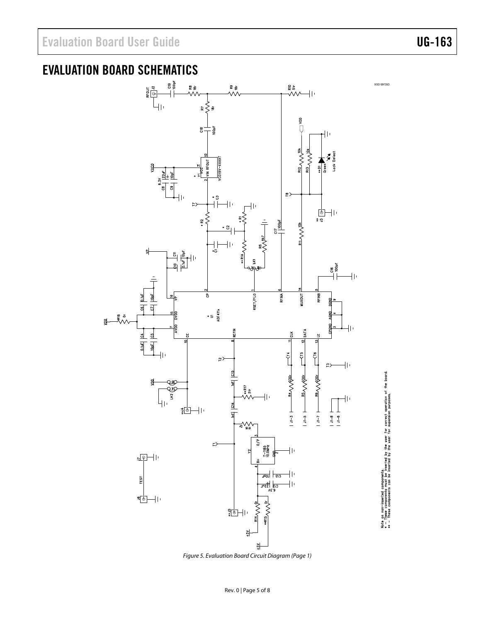lette on non-inserted components.<br>● → These components can be inserted by the user for correct operation of the board.<br>● → → These components can be inserted by the user for expansion purposes.

# <span id="page-4-0"></span>EVALUATION BOARD SCHEMATICS



<span id="page-4-1"></span>Figure 5. Evaluation Board Circuit Diagram (Page 1)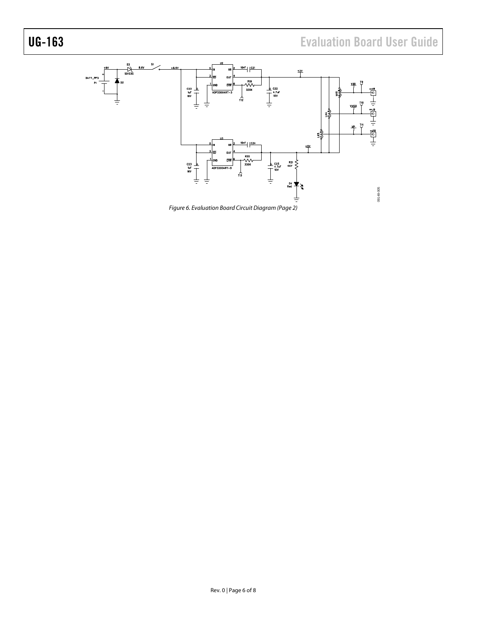<span id="page-5-0"></span>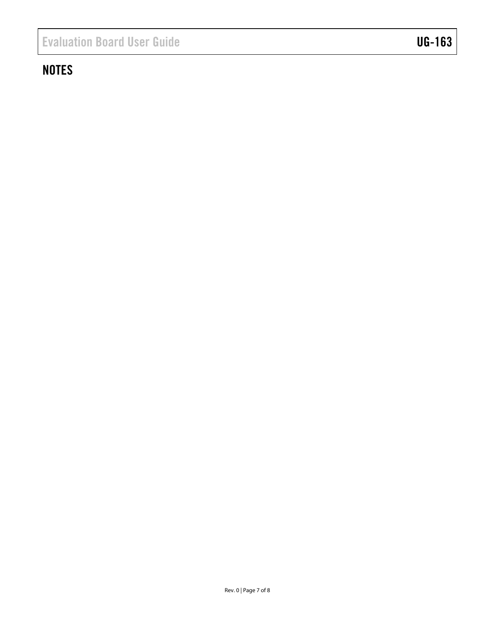# **NOTES**